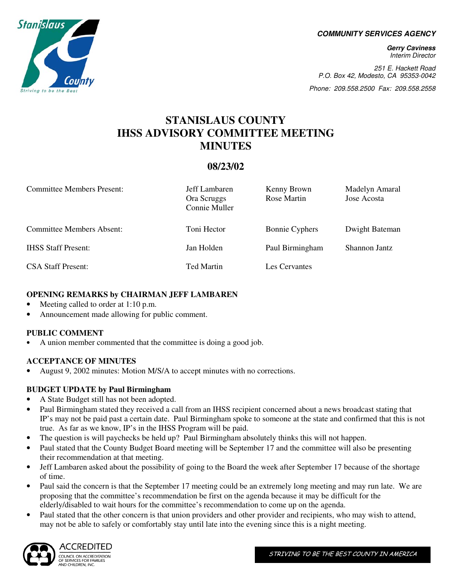**COMMUNITY SERVICES AGENCY** 

**Gerry Caviness**  Interim Director

251 E. Hackett Road P.O. Box 42, Modesto, CA 95353-0042

Phone: 209.558.2500 Fax: 209.558.2558

# **STANISLAUS COUNTY IHSS ADVISORY COMMITTEE MEETING MINUTES**

## **08/23/02**

| <b>Committee Members Present:</b> | Jeff Lambaren<br>Ora Scruggs<br>Connie Muller | Kenny Brown<br>Rose Martin | Madelyn Amaral<br>Jose Acosta |
|-----------------------------------|-----------------------------------------------|----------------------------|-------------------------------|
| <b>Committee Members Absent:</b>  | Toni Hector                                   | <b>Bonnie Cyphers</b>      | Dwight Bateman                |
| <b>IHSS Staff Present:</b>        | Jan Holden                                    | Paul Birmingham            | Shannon Jantz                 |
| <b>CSA Staff Present:</b>         | <b>Ted Martin</b>                             | Les Cervantes              |                               |

#### **OPENING REMARKS by CHAIRMAN JEFF LAMBAREN**

- Meeting called to order at 1:10 p.m.
- Announcement made allowing for public comment.

#### **PUBLIC COMMENT**

• A union member commented that the committee is doing a good job.

#### **ACCEPTANCE OF MINUTES**

• August 9, 2002 minutes: Motion M/S/A to accept minutes with no corrections.

## **BUDGET UPDATE by Paul Birmingham**

- A State Budget still has not been adopted.
- Paul Birmingham stated they received a call from an IHSS recipient concerned about a news broadcast stating that IP's may not be paid past a certain date. Paul Birmingham spoke to someone at the state and confirmed that this is not true. As far as we know, IP's in the IHSS Program will be paid.
- The question is will paychecks be held up? Paul Birmingham absolutely thinks this will not happen.
- Paul stated that the County Budget Board meeting will be September 17 and the committee will also be presenting their recommendation at that meeting.
- Jeff Lambaren asked about the possibility of going to the Board the week after September 17 because of the shortage of time.
- Paul said the concern is that the September 17 meeting could be an extremely long meeting and may run late. We are proposing that the committee's recommendation be first on the agenda because it may be difficult for the elderly/disabled to wait hours for the committee's recommendation to come up on the agenda.
- Paul stated that the other concern is that union providers and other provider and recipients, who may wish to attend, may not be able to safely or comfortably stay until late into the evening since this is a night meeting.



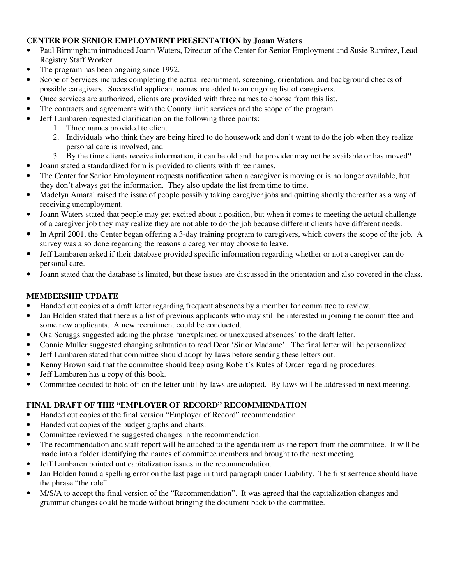#### **CENTER FOR SENIOR EMPLOYMENT PRESENTATION by Joann Waters**

- Paul Birmingham introduced Joann Waters, Director of the Center for Senior Employment and Susie Ramirez, Lead Registry Staff Worker.
- The program has been ongoing since 1992.
- Scope of Services includes completing the actual recruitment, screening, orientation, and background checks of possible caregivers. Successful applicant names are added to an ongoing list of caregivers.
- Once services are authorized, clients are provided with three names to choose from this list.
- The contracts and agreements with the County limit services and the scope of the program.
- Jeff Lambaren requested clarification on the following three points:
	- 1. Three names provided to client
	- 2. Individuals who think they are being hired to do housework and don't want to do the job when they realize personal care is involved, and
	- 3. By the time clients receive information, it can be old and the provider may not be available or has moved?
	- Joann stated a standardized form is provided to clients with three names.
- The Center for Senior Employment requests notification when a caregiver is moving or is no longer available, but they don't always get the information. They also update the list from time to time.
- Madelyn Amaral raised the issue of people possibly taking caregiver jobs and quitting shortly thereafter as a way of receiving unemployment.
- Joann Waters stated that people may get excited about a position, but when it comes to meeting the actual challenge of a caregiver job they may realize they are not able to do the job because different clients have different needs.
- In April 2001, the Center began offering a 3-day training program to caregivers, which covers the scope of the job. A survey was also done regarding the reasons a caregiver may choose to leave.
- Jeff Lambaren asked if their database provided specific information regarding whether or not a caregiver can do personal care.
- Joann stated that the database is limited, but these issues are discussed in the orientation and also covered in the class.

## **MEMBERSHIP UPDATE**

- Handed out copies of a draft letter regarding frequent absences by a member for committee to review.
- Jan Holden stated that there is a list of previous applicants who may still be interested in joining the committee and some new applicants. A new recruitment could be conducted.
- Ora Scruggs suggested adding the phrase 'unexplained or unexcused absences' to the draft letter.
- Connie Muller suggested changing salutation to read Dear 'Sir or Madame'. The final letter will be personalized.
- Jeff Lambaren stated that committee should adopt by-laws before sending these letters out.
- Kenny Brown said that the committee should keep using Robert's Rules of Order regarding procedures.
- Jeff Lambaren has a copy of this book.
- Committee decided to hold off on the letter until by-laws are adopted. By-laws will be addressed in next meeting.

## **FINAL DRAFT OF THE "EMPLOYER OF RECORD" RECOMMENDATION**

- Handed out copies of the final version "Employer of Record" recommendation.
- Handed out copies of the budget graphs and charts.
- Committee reviewed the suggested changes in the recommendation.
- The recommendation and staff report will be attached to the agenda item as the report from the committee. It will be made into a folder identifying the names of committee members and brought to the next meeting.
- Jeff Lambaren pointed out capitalization issues in the recommendation.
- Jan Holden found a spelling error on the last page in third paragraph under Liability. The first sentence should have the phrase "the role".
- M/S/A to accept the final version of the "Recommendation". It was agreed that the capitalization changes and grammar changes could be made without bringing the document back to the committee.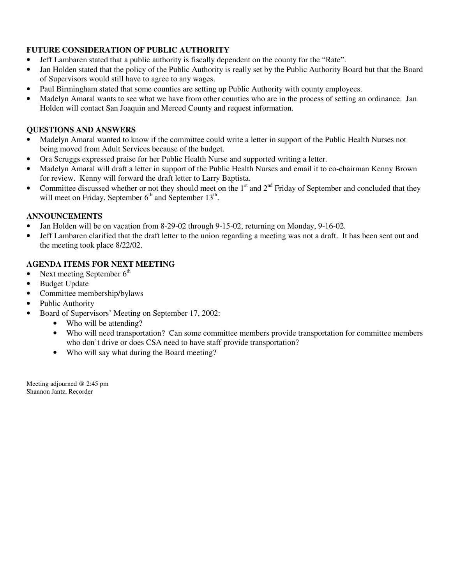#### **FUTURE CONSIDERATION OF PUBLIC AUTHORITY**

- Jeff Lambaren stated that a public authority is fiscally dependent on the county for the "Rate".
- Jan Holden stated that the policy of the Public Authority is really set by the Public Authority Board but that the Board of Supervisors would still have to agree to any wages.
- Paul Birmingham stated that some counties are setting up Public Authority with county employees.
- Madelyn Amaral wants to see what we have from other counties who are in the process of setting an ordinance. Jan Holden will contact San Joaquin and Merced County and request information.

#### **QUESTIONS AND ANSWERS**

- Madelyn Amaral wanted to know if the committee could write a letter in support of the Public Health Nurses not being moved from Adult Services because of the budget.
- Ora Scruggs expressed praise for her Public Health Nurse and supported writing a letter.
- Madelyn Amaral will draft a letter in support of the Public Health Nurses and email it to co-chairman Kenny Brown for review. Kenny will forward the draft letter to Larry Baptista.
- Committee discussed whether or not they should meet on the  $1<sup>st</sup>$  and  $2<sup>nd</sup>$  Friday of September and concluded that they will meet on Friday, September  $6<sup>th</sup>$  and September  $13<sup>th</sup>$ .

#### **ANNOUNCEMENTS**

- Jan Holden will be on vacation from 8-29-02 through 9-15-02, returning on Monday, 9-16-02.
- Jeff Lambaren clarified that the draft letter to the union regarding a meeting was not a draft. It has been sent out and the meeting took place 8/22/02.

#### **AGENDA ITEMS FOR NEXT MEETING**

- Next meeting September  $6<sup>th</sup>$
- Budget Update
- Committee membership/bylaws
- Public Authority
- Board of Supervisors' Meeting on September 17, 2002:
	- Who will be attending?
	- Who will need transportation? Can some committee members provide transportation for committee members who don't drive or does CSA need to have staff provide transportation?
	- Who will say what during the Board meeting?

Meeting adjourned @ 2:45 pm Shannon Jantz, Recorder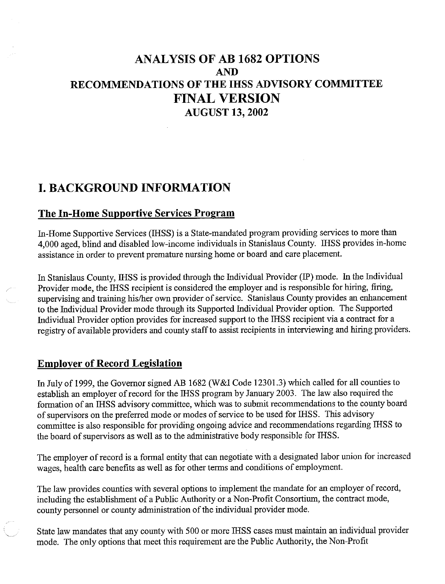# **ANALYSIS OF AB 1682 OPTIONS AND** RECOMMENDATIONS OF THE IHSS ADVISORY COMMITTEE **FINAL VERSION AUGUST 13, 2002**

# **I. BACKGROUND INFORMATION**

## **The In-Home Supportive Services Program**

In-Home Supportive Services (IHSS) is a State-mandated program providing services to more than 4,000 aged, blind and disabled low-income individuals in Stanislaus County. IHSS provides in-home assistance in order to prevent premature nursing home or board and care placement.

In Stanislaus County, IHSS is provided through the Individual Provider (IP) mode. In the Individual Provider mode, the IHSS recipient is considered the employer and is responsible for hiring, firing, supervising and training his/her own provider of service. Stanislaus County provides an enhancement to the Individual Provider mode through its Supported Individual Provider option. The Supported Individual Provider option provides for increased support to the IHSS recipient via a contract for a registry of available providers and county staff to assist recipients in interviewing and hiring providers.

## **Employer of Record Legislation**

In July of 1999, the Governor signed AB 1682 (W&I Code 12301.3) which called for all counties to establish an employer of record for the IHSS program by January 2003. The law also required the formation of an IHSS advisory committee, which was to submit recommendations to the county board of supervisors on the preferred mode or modes of service to be used for IHSS. This advisory committee is also responsible for providing ongoing advice and recommendations regarding IHSS to the board of supervisors as well as to the administrative body responsible for IHSS.

The employer of record is a formal entity that can negotiate with a designated labor union for increased wages, health care benefits as well as for other terms and conditions of employment.

The law provides counties with several options to implement the mandate for an employer of record, including the establishment of a Public Authority or a Non-Profit Consortium, the contract mode, county personnel or county administration of the individual provider mode.

State law mandates that any county with 500 or more IHSS cases must maintain an individual provider mode. The only options that meet this requirement are the Public Authority, the Non-Profit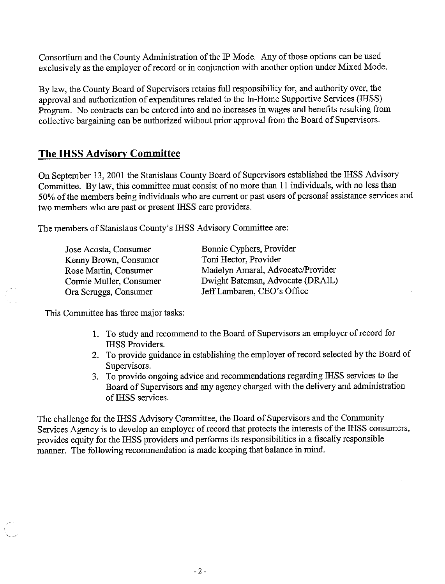Consortium and the County Administration of the IP Mode. Any of those options can be used exclusively as the employer of record or in conjunction with another option under Mixed Mode.

By law, the County Board of Supervisors retains full responsibility for, and authority over, the approval and authorization of expenditures related to the In-Home Supportive Services (IHSS) Program. No contracts can be entered into and no increases in wages and benefits resulting from collective bargaining can be authorized without prior approval from the Board of Supervisors.

## **The IHSS Advisory Committee**

On September 13, 2001 the Stanislaus County Board of Supervisors established the IHSS Advisory Committee. By law, this committee must consist of no more than 11 individuals, with no less than 50% of the members being individuals who are current or past users of personal assistance services and two members who are past or present IHSS care providers.

The members of Stanislaus County's IHSS Advisory Committee are:

Bonnie Cyphers, Provider Toni Hector, Provider Madelyn Amaral, Advocate/Provider Dwight Bateman, Advocate (DRAIL) Jeff Lambaren, CEO's Office

This Committee has three major tasks:

- 1. To study and recommend to the Board of Supervisors an employer of record for **IHSS Providers.**
- 2. To provide guidance in establishing the employer of record selected by the Board of Supervisors.
- 3. To provide ongoing advice and recommendations regarding IHSS services to the Board of Supervisors and any agency charged with the delivery and administration of IHSS services.

The challenge for the IHSS Advisory Committee, the Board of Supervisors and the Community Services Agency is to develop an employer of record that protects the interests of the IHSS consumers, provides equity for the IHSS providers and performs its responsibilities in a fiscally responsible manner. The following recommendation is made keeping that balance in mind.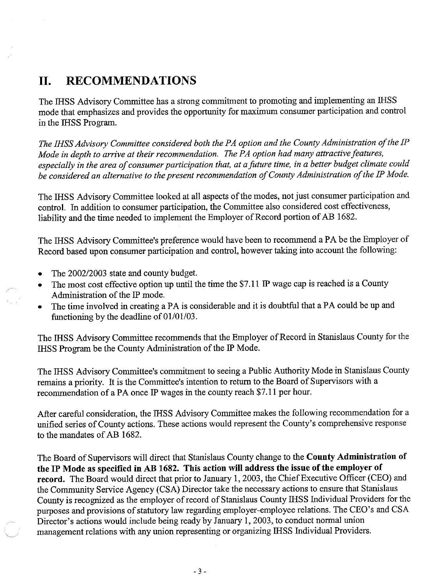#### II. **RECOMMENDATIONS**

The IHSS Advisory Committee has a strong commitment to promoting and implementing an IHSS mode that emphasizes and provides the opportunity for maximum consumer participation and control in the IHSS Program.

The IHSS Advisory Committee considered both the PA option and the County Administration of the IP Mode in depth to arrive at their recommendation. The PA option had many attractive features, especially in the area of consumer participation that, at a future time, in a better budget climate could be considered an alternative to the present recommendation of County Administration of the IP Mode.

The IHSS Advisory Committee looked at all aspects of the modes, not just consumer participation and control. In addition to consumer participation, the Committee also considered cost effectiveness, liability and the time needed to implement the Employer of Record portion of AB 1682.

The IHSS Advisory Committee's preference would have been to recommend a PA be the Employer of Record based upon consumer participation and control, however taking into account the following:

- The 2002/2003 state and county budget.  $\bullet$
- The most cost effective option up until the time the \$7.11 IP wage cap is reached is a County  $\bullet$ Administration of the IP mode.
- The time involved in creating a PA is considerable and it is doubtful that a PA could be up and functioning by the deadline of  $01/01/03$ .

The IHSS Advisory Committee recommends that the Employer of Record in Stanislaus County for the IHSS Program be the County Administration of the IP Mode.

The IHSS Advisory Committee's commitment to seeing a Public Authority Mode in Stanislaus County remains a priority. It is the Committee's intention to return to the Board of Supervisors with a recommendation of a PA once IP wages in the county reach \$7.11 per hour.

After careful consideration, the IHSS Advisory Committee makes the following recommendation for a unified series of County actions. These actions would represent the County's comprehensive response to the mandates of AB 1682.

The Board of Supervisors will direct that Stanislaus County change to the County Administration of the IP Mode as specified in AB 1682. This action will address the issue of the employer of record. The Board would direct that prior to January 1, 2003, the Chief Executive Officer (CEO) and the Community Service Agency (CSA) Director take the necessary actions to ensure that Stanislaus County is recognized as the employer of record of Stanislaus County IHSS Individual Providers for the purposes and provisions of statutory law regarding employer-employee relations. The CEO's and CSA Director's actions would include being ready by January 1, 2003, to conduct normal union management relations with any union representing or organizing IHSS Individual Providers.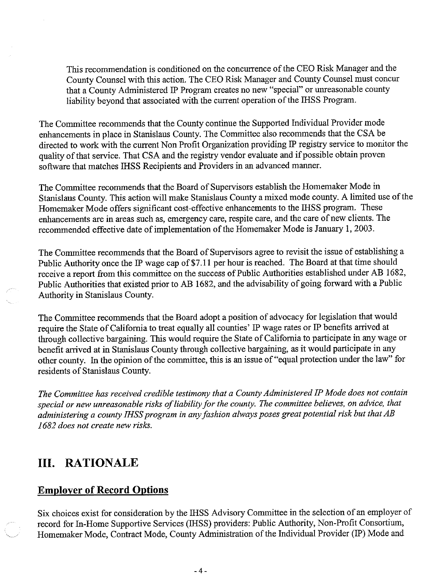This recommendation is conditioned on the concurrence of the CEO Risk Manager and the County Counsel with this action. The CEO Risk Manager and County Counsel must concur that a County Administered IP Program creates no new "special" or unreasonable county liability beyond that associated with the current operation of the IHSS Program.

The Committee recommends that the County continue the Supported Individual Provider mode enhancements in place in Stanislaus County. The Committee also recommends that the CSA be directed to work with the current Non Profit Organization providing IP registry service to monitor the quality of that service. That CSA and the registry vendor evaluate and if possible obtain proven software that matches IHSS Recipients and Providers in an advanced manner.

The Committee recommends that the Board of Supervisors establish the Homemaker Mode in Stanislaus County. This action will make Stanislaus County a mixed mode county. A limited use of the Homemaker Mode offers significant cost-effective enhancements to the IHSS program. These enhancements are in areas such as, emergency care, respite care, and the care of new clients. The recommended effective date of implementation of the Homemaker Mode is January 1, 2003.

The Committee recommends that the Board of Supervisors agree to revisit the issue of establishing a Public Authority once the IP wage cap of \$7.11 per hour is reached. The Board at that time should receive a report from this committee on the success of Public Authorities established under AB 1682, Public Authorities that existed prior to AB 1682, and the advisability of going forward with a Public Authority in Stanislaus County.

The Committee recommends that the Board adopt a position of advocacy for legislation that would require the State of California to treat equally all counties' IP wage rates or IP benefits arrived at through collective bargaining. This would require the State of California to participate in any wage or benefit arrived at in Stanislaus County through collective bargaining, as it would participate in any other county. In the opinion of the committee, this is an issue of "equal protection under the law" for residents of Stanislaus County.

The Committee has received credible testimony that a County Administered IP Mode does not contain special or new unreasonable risks of liability for the county. The committee believes, on advice, that administering a county IHSS program in any fashion always poses great potential risk but that AB 1682 does not create new risks.

# **III. RATIONALE**

## **Employer of Record Options**

Six choices exist for consideration by the IHSS Advisory Committee in the selection of an employer of record for In-Home Supportive Services (IHSS) providers: Public Authority, Non-Profit Consortium, Homemaker Mode, Contract Mode, County Administration of the Individual Provider (IP) Mode and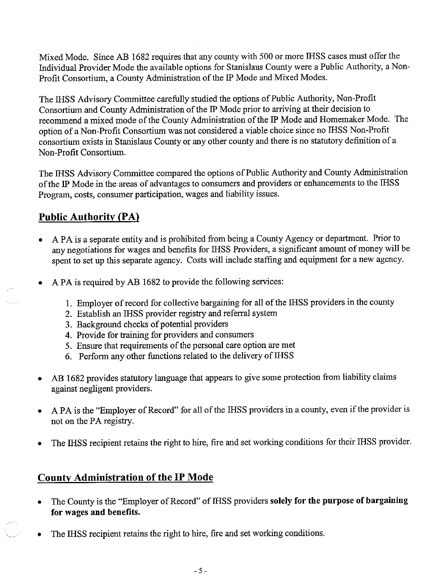Mixed Mode. Since AB 1682 requires that any county with 500 or more IHSS cases must offer the Individual Provider Mode the available options for Stanislaus County were a Public Authority, a Non-Profit Consortium, a County Administration of the IP Mode and Mixed Modes.

The IHSS Advisory Committee carefully studied the options of Public Authority, Non-Profit Consortium and County Administration of the IP Mode prior to arriving at their decision to recommend a mixed mode of the County Administration of the IP Mode and Homemaker Mode. The option of a Non-Profit Consortium was not considered a viable choice since no IHSS Non-Profit consortium exists in Stanislaus County or any other county and there is no statutory definition of a Non-Profit Consortium.

The IHSS Advisory Committee compared the options of Public Authority and County Administration of the IP Mode in the areas of advantages to consumers and providers or enhancements to the IHSS Program, costs, consumer participation, wages and liability issues.

# **Public Authority (PA)**

- A PA is a separate entity and is prohibited from being a County Agency or department. Prior to any negotiations for wages and benefits for IHSS Providers, a significant amount of money will be spent to set up this separate agency. Costs will include staffing and equipment for a new agency.
- A PA is required by AB 1682 to provide the following services:
	- 1. Employer of record for collective bargaining for all of the IHSS providers in the county
	- 2. Establish an IHSS provider registry and referral system
	- 3. Background checks of potential providers
	- 4. Provide for training for providers and consumers
	- 5. Ensure that requirements of the personal care option are met
	- 6. Perform any other functions related to the delivery of IHSS
- AB 1682 provides statutory language that appears to give some protection from liability claims  $\bullet$ against negligent providers.
- A PA is the "Employer of Record" for all of the IHSS providers in a county, even if the provider is not on the PA registry.
- The IHSS recipient retains the right to hire, fire and set working conditions for their IHSS provider.

# **County Administration of the IP Mode**

- The County is the "Employer of Record" of IHSS providers solely for the purpose of bargaining for wages and benefits.
- The IHSS recipient retains the right to hire, fire and set working conditions.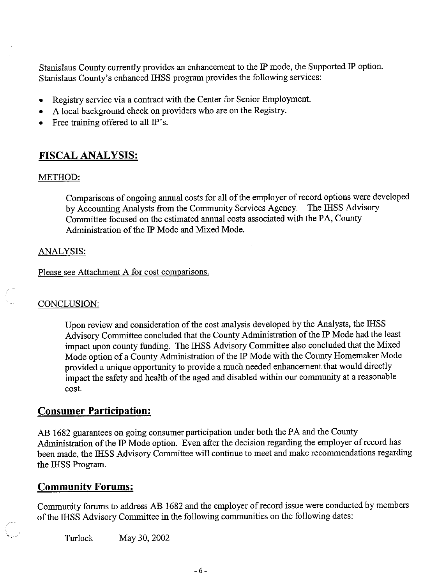Stanislaus County currently provides an enhancement to the IP mode, the Supported IP option. Stanislaus County's enhanced IHSS program provides the following services:

- Registry service via a contract with the Center for Senior Employment.  $\bullet$
- A local background check on providers who are on the Registry.
- Free training offered to all IP's.

## **FISCAL ANALYSIS:**

#### METHOD:

Comparisons of ongoing annual costs for all of the employer of record options were developed by Accounting Analysts from the Community Services Agency. The IHSS Advisory Committee focused on the estimated annual costs associated with the PA, County Administration of the IP Mode and Mixed Mode.

#### **ANALYSIS:**

Please see Attachment A for cost comparisons.

#### CONCLUSION:

Upon review and consideration of the cost analysis developed by the Analysts, the IHSS Advisory Committee concluded that the County Administration of the IP Mode had the least impact upon county funding. The IHSS Advisory Committee also concluded that the Mixed Mode option of a County Administration of the IP Mode with the County Homemaker Mode provided a unique opportunity to provide a much needed enhancement that would directly impact the safety and health of the aged and disabled within our community at a reasonable cost.

## **Consumer Participation:**

AB 1682 guarantees on going consumer participation under both the PA and the County Administration of the IP Mode option. Even after the decision regarding the employer of record has been made, the IHSS Advisory Committee will continue to meet and make recommendations regarding the IHSS Program.

## **Community Forums:**

Community forums to address AB 1682 and the employer of record issue were conducted by members of the IHSS Advisory Committee in the following communities on the following dates:

May 30, 2002 Turlock